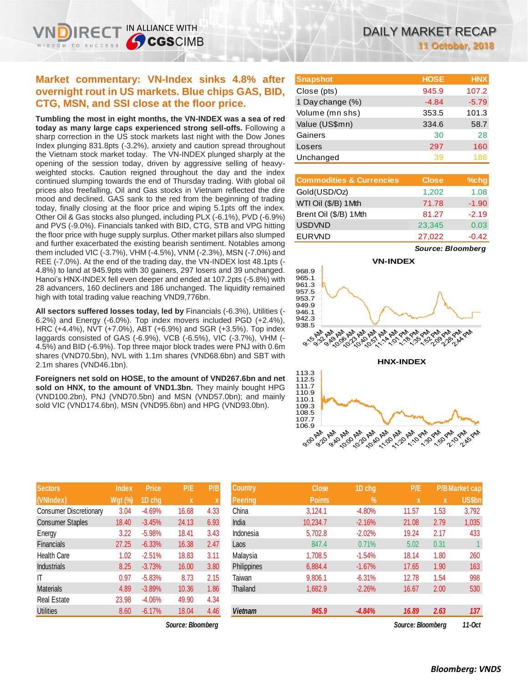IN ALLIANCE WITH

**SCGSCIMB** 

**Tumbling the most in eight months, the VN-INDEX was a sea of red today as many large caps experienced strong sell-offs.** Following a sharp correction in the US stock markets last night with the Dow Jones Index plunging 831.8pts (-3.2%), anxiety and caution spread throughout the Vietnam stock market today. The VN-INDEX plunged sharply at the opening of the session today, driven by aggressive selling of heavyweighted stocks. Caution reigned throughout the day and the index continued slumping towards the end of Thursday trading. With global oil prices also freefalling, Oil and Gas stocks in Vietnam reflected the dire mood and declined. GAS sank to the red from the beginning of trading today, finally closing at the floor price and wiping 5.1pts off the index. Other Oil & Gas stocks also plunged, including PLX (-6.1%), PVD (-6.9%) and PVS (-9.0%). Financials tanked with BID, CTG, STB and VPG hitting the floor price with huge supply surplus. Other market pillars also slumped and further exacerbated the existing bearish sentiment. Notables among them included VIC (-3.7%), VHM (-4.5%), VNM (-2.3%), MSN (-7.0%) and REE (-7.0%). At the end of the trading day, the VN-INDEX lost 48.1pts (- 4.8%) to land at 945.9pts with 30 gainers, 297 losers and 39 unchanged. Hanoi's HNX-INDEX fell even deeper and ended at 107.2pts (-5.8%) with 28 advancers, 160 decliners and 186 unchanged. The liquidity remained high with total trading value reaching VND9,776bn.

**All sectors suffered losses today, led by** Financials (-6.3%), Utilities (- 6.2%) and Energy (-6.0%). Top index movers included PGD (+2.4%), HRC (+4.4%), NVT (+7.0%), ABT (+6.9%) and SGR (+3.5%). Top index laggards consisted of GAS (-6.9%), VCB (-6.5%), VIC (-3.7%), VHM (- 4.5%) and BID (-6.9%). Top three major block trades were PNJ with 0.6m shares (VND70.5bn), NVL with 1.1m shares (VND68.6bn) and SBT with 2.1m shares (VND46.1bn).

**Foreigners net sold on HOSE, to the amount of VND267.6bn and net sold on HNX, to the amount of VND1.3bn.** They mainly bought HPG (VND100.2bn), PNJ (VND70.5bn) and MSN (VND57.0bn); and mainly sold VIC (VND174.6bn), MSN (VND95.6bn) and HPG (VND93.0bn).

| <b>Sectors</b>                | <b>Index</b> | <b>Price</b> | P/E   | P/B  |
|-------------------------------|--------------|--------------|-------|------|
| (VNIndex)                     | Wgt (%)      | 1D chg       | X     | X    |
| <b>Consumer Discretionary</b> | 3.04         | $-4.69%$     | 16.68 | 4.33 |
| <b>Consumer Staples</b>       | 18.40        | $-3.45%$     | 24.13 | 6.93 |
| Energy                        | 3.22         | $-5.98%$     | 18.41 | 3.43 |
| <b>Financials</b>             | 27.25        | $-6.33%$     | 16.38 | 2.47 |
| <b>Health Care</b>            | 1.02         | $-2.51%$     | 18.83 | 3.11 |
| <b>Industrials</b>            | 8.25         | $-3.73%$     | 16.00 | 3.80 |
| ıτ                            | 0.97         | $-5.83%$     | 8.73  | 2.15 |
| <b>Materials</b>              | 4.89         | $-3.89%$     | 10.36 | 1.86 |
| <b>Real Estate</b>            | 23.98        | $-4.06%$     | 49.90 | 4.34 |
| <b>Utilities</b>              | 8.60         | $-6.17%$     | 18.04 | 4.46 |

 $Source: Bloomberg$ 

| <b>Snapshot</b>  | <b>HOSE</b> | <b>HNX</b> |
|------------------|-------------|------------|
| Close (pts)      | 945.9       | 107.2      |
| 1 Day change (%) | $-4.84$     | $-5.79$    |
| Volume (mn shs)  | 353.5       | 101.3      |
| Value (US\$mn)   | 334.6       | 58.7       |
| Gainers          | 30          | 28         |
| Losers           | 297         | 160        |
| Unchanged        | 39          | 186        |

| <b>Commodities &amp; Currencies</b> | <b>Close</b> | $%$ chg |
|-------------------------------------|--------------|---------|
| Gold(USD/Oz)                        | 1,202        | 1.08    |
| WTI Oil (\$/B) 1Mth                 | 71.78        | $-1.90$ |
| Brent Oil (\$/B) 1Mth               | 81.27        | $-2.19$ |
| <b>USDVND</b>                       | 23,345       | 0.03    |
| <b>EURVND</b>                       | 27,022       | $-0.42$ |

*Source: Bloomberg*





| <b>Sectors</b>                | <b>Index</b>   | <b>Price</b> | P/E               | P/B  | <b>Country</b> | <b>Close</b>  | 1D chg     | P/E               |      | P/B Market cap |
|-------------------------------|----------------|--------------|-------------------|------|----------------|---------------|------------|-------------------|------|----------------|
| (VNIndex)                     | <b>Wgt (%)</b> | 1D chg       | X                 |      | <b>Peering</b> | <b>Points</b> | $\sqrt{2}$ | X                 | X    | <b>US\$bn</b>  |
| <b>Consumer Discretionary</b> | 3.04           | $-4.69%$     | 16.68             | 4.33 | China          | 3,124.1       | $-4.80%$   | 11.57             | 1.53 | 3,792          |
| <b>Consumer Staples</b>       | 18.40          | $-3.45%$     | 24.13             | 6.93 | India          | 10.234.7      | $-2.16%$   | 21.08             | 2.79 | 1,035          |
| Energy                        | 3.22           | $-5.98%$     | 18.41             | 3.43 | Indonesia      | 5,702.8       | $-2.02%$   | 19.24             | 2.17 | 433            |
| Financials                    | 27.25          | $-6.33%$     | 16.38             | 2.47 | Laos           | 847.4         | 0.71%      | 5.02              | 0.31 |                |
| Health Care                   | 1.02           | $-2.51%$     | 18.83             | 3.11 | Malaysia       | 1,708.5       | $-1.54%$   | 18.14             | 1.80 | 260            |
| Industrials                   | 8.25           | $-3.73%$     | 16.00             | 3.80 | Philippines    | 6,884.4       | $-1.67%$   | 17.65             | 1.90 | 163            |
| Τ                             | 0.97           | $-5.83%$     | 8.73              | 2.15 | Taiwan         | 9,806.1       | $-6.31%$   | 12.78             | 1.54 | 998            |
| <b>Materials</b>              | 4.89           | $-3.89%$     | 10.36             | 1.86 | Thailand       | 1,682.9       | $-2.26%$   | 16.67             | 2.00 | 530            |
| Real Estate                   | 23.98          | $-4.06%$     | 49.90             | 4.34 |                |               |            |                   |      |                |
| <b>Utilities</b>              | 8.60           | $-6.17%$     | 18.04             | 4.46 | <b>Vietnam</b> | 945.9         | $-4.84%$   | 16.89             | 2.63 | 137            |
|                               |                |              | Source: Bloombera |      |                |               |            | Source: Bloomberg |      | $11-0ct$       |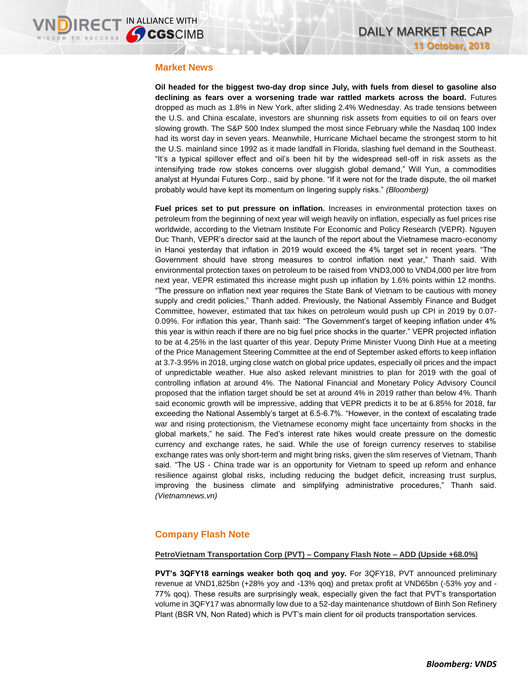### **Market News**

**Oil headed for the biggest two-day drop since July, with fuels from diesel to gasoline also declining as fears over a worsening trade war rattled markets across the board.** Futures dropped as much as 1.8% in New York, after sliding 2.4% Wednesday. As trade tensions between the U.S. and China escalate, investors are shunning risk assets from equities to oil on fears over slowing growth. The S&P 500 Index slumped the most since February while the Nasdaq 100 Index had its worst day in seven years. Meanwhile, Hurricane Michael became the strongest storm to hit the U.S. mainland since 1992 as it made landfall in Florida, slashing fuel demand in the Southeast. "It's a typical spillover effect and oil's been hit by the widespread sell-off in risk assets as the intensifying trade row stokes concerns over sluggish global demand," Will Yun, a commodities analyst at Hyundai Futures Corp., said by phone. "If it were not for the trade dispute, the oil market probably would have kept its momentum on lingering supply risks." *(Bloomberg)*

**Fuel prices set to put pressure on inflation.** Increases in environmental protection taxes on petroleum from the beginning of next year will weigh heavily on inflation, especially as fuel prices rise worldwide, according to the Vietnam Institute For Economic and Policy Research (VEPR). Nguyen Duc Thanh, VEPR's director said at the launch of the report about the Vietnamese macro-economy in Hanoi yesterday that inflation in 2019 would exceed the 4% target set in recent years. "The Government should have strong measures to control inflation next year," Thanh said. With environmental protection taxes on petroleum to be raised from VND3,000 to VND4,000 per litre from next year, VEPR estimated this increase might push up inflation by 1.6% points within 12 months. "The pressure on inflation next year requires the State Bank of Vietnam to be cautious with money supply and credit policies," Thanh added. Previously, the National Assembly Finance and Budget Committee, however, estimated that tax hikes on petroleum would push up CPI in 2019 by 0.07- 0.09%. For inflation this year, Thanh said: "The Government's target of keeping inflation under 4% this year is within reach if there are no big fuel price shocks in the quarter." VEPR projected inflation to be at 4.25% in the last quarter of this year. Deputy Prime Minister Vuong Dinh Hue at a meeting of the Price Management Steering Committee at the end of September asked efforts to keep inflation at 3.7-3.95% in 2018, urging close watch on global price updates, especially oil prices and the impact of unpredictable weather. Hue also asked relevant ministries to plan for 2019 with the goal of controlling inflation at around 4%. The National Financial and Monetary Policy Advisory Council proposed that the inflation target should be set at around 4% in 2019 rather than below 4%. Thanh said economic growth will be impressive, adding that VEPR predicts it to be at 6.85% for 2018, far exceeding the National Assembly's target at 6.5-6.7%. "However, in the context of escalating trade war and rising protectionism, the Vietnamese economy might face uncertainty from shocks in the global markets," he said. The Fed's interest rate hikes would create pressure on the domestic currency and exchange rates, he said. While the use of foreign currency reserves to stabilise exchange rates was only short-term and might bring risks, given the slim reserves of Vietnam, Thanh said. "The US - China trade war is an opportunity for Vietnam to speed up reform and enhance resilience against global risks, including reducing the budget deficit, increasing trust surplus, improving the business climate and simplifying administrative procedures," Thanh said. *(Vietnamnews.vn)*

# **Company Flash Note**

### **PetroVietnam Transportation Corp (PVT) – Company Flash Note – ADD (Upside +68.0%)**

**PVT's 3QFY18 earnings weaker both qoq and yoy.** For 3QFY18, PVT announced preliminary revenue at VND1,825bn (+28% yoy and -13% qoq) and pretax profit at VND65bn (-53% yoy and - 77% qoq). These results are surprisingly weak, especially given the fact that PVT's transportation volume in 3QFY17 was abnormally low due to a 52-day maintenance shutdown of Binh Son Refinery Plant (BSR VN, Non Rated) which is PVT's main client for oil products transportation services.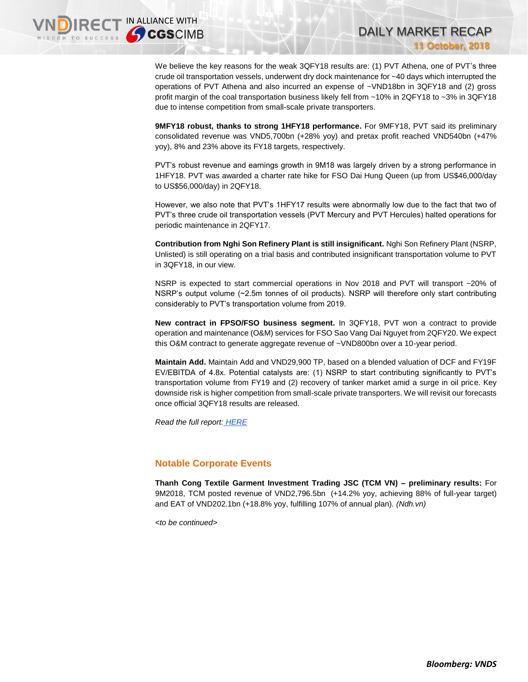We believe the key reasons for the weak 3QFY18 results are: (1) PVT Athena, one of PVT's three crude oil transportation vessels, underwent dry dock maintenance for ~40 days which interrupted the operations of PVT Athena and also incurred an expense of ~VND18bn in 3QFY18 and (2) gross profit margin of the coal transportation business likely fell from ~10% in 2QFY18 to ~3% in 3QFY18 due to intense competition from small-scale private transporters.

DAILY MARKET RECAP

**11 October, 2018**

**9MFY18 robust, thanks to strong 1HFY18 performance.** For 9MFY18, PVT said its preliminary consolidated revenue was VND5,700bn (+28% yoy) and pretax profit reached VND540bn (+47% yoy), 8% and 23% above its FY18 targets, respectively.

PVT's robust revenue and earnings growth in 9M18 was largely driven by a strong performance in 1HFY18. PVT was awarded a charter rate hike for FSO Dai Hung Queen (up from US\$46,000/day to US\$56,000/day) in 2QFY18.

However, we also note that PVT's 1HFY17 results were abnormally low due to the fact that two of PVT's three crude oil transportation vessels (PVT Mercury and PVT Hercules) halted operations for periodic maintenance in 2QFY17.

**Contribution from Nghi Son Refinery Plant is still insignificant.** Nghi Son Refinery Plant (NSRP, Unlisted) is still operating on a trial basis and contributed insignificant transportation volume to PVT in 3QFY18, in our view.

NSRP is expected to start commercial operations in Nov 2018 and PVT will transport ~20% of NSRP's output volume (~2.5m tonnes of oil products). NSRP will therefore only start contributing considerably to PVT's transportation volume from 2019.

**New contract in FPSO/FSO business segment.** In 3QFY18, PVT won a contract to provide operation and maintenance (O&M) services for FSO Sao Vang Dai Nguyet from 2QFY20. We expect this O&M contract to generate aggregate revenue of ~VND800bn over a 10-year period.

**Maintain Add.** Maintain Add and VND29,900 TP, based on a blended valuation of DCF and FY19F EV/EBITDA of 4.8x. Potential catalysts are: (1) NSRP to start contributing significantly to PVT's transportation volume from FY19 and (2) recovery of tanker market amid a surge in oil price. Key downside risk is higher competition from small-scale private transporters. We will revisit our forecasts once official 3QFY18 results are released.

*Read the full report: [HERE](https://static-02.vndirect.com.vn/uploads/prod/PVT_Update_20181011.pdf)*

### **Notable Corporate Events**

**Thanh Cong Textile Garment Investment Trading JSC (TCM VN) – preliminary results:** For 9M2018, TCM posted revenue of VND2,796.5bn (+14.2% yoy, achieving 88% of full-year target) and EAT of VND202.1bn (+18.8% yoy, fulfilling 107% of annual plan). *(Ndh.vn)*

*<to be continued>*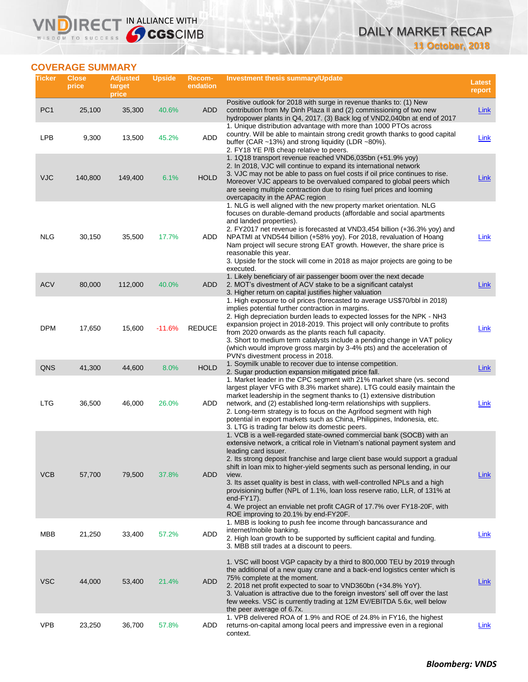# DAILY MARKET RECAP **11 October, 2018**

# **COVERAGE SUMMARY**

WISDOM TO SUCCESS

**VNDIRECT IN ALLIANCE WITH** 

| Ticker          | <b>Close</b><br>price | <b>Adjusted</b><br>target<br>price | <b>Upside</b> | Recom-<br>endation | Investment thesis summary/Update                                                                                                                                                                                                                                                                                                                                                                                                                                                                                                                                                                                                                      | <b>Latest</b><br>report |
|-----------------|-----------------------|------------------------------------|---------------|--------------------|-------------------------------------------------------------------------------------------------------------------------------------------------------------------------------------------------------------------------------------------------------------------------------------------------------------------------------------------------------------------------------------------------------------------------------------------------------------------------------------------------------------------------------------------------------------------------------------------------------------------------------------------------------|-------------------------|
| PC <sub>1</sub> | 25,100                | 35,300                             | 40.6%         | ADD                | Positive outlook for 2018 with surge in revenue thanks to: (1) New<br>contribution from My Dinh Plaza II and (2) commissioning of two new<br>hydropower plants in Q4, 2017. (3) Back log of VND2,040bn at end of 2017                                                                                                                                                                                                                                                                                                                                                                                                                                 | <b>Link</b>             |
| LPB             | 9,300                 | 13,500                             | 45.2%         | ADD                | 1. Unique distribution advantage with more than 1000 PTOs across<br>country. Will be able to maintain strong credit growth thanks to good capital<br>buffer (CAR $\sim$ 13%) and strong liquidity (LDR $\sim$ 80%).<br>2. FY18 YE P/B cheap relative to peers.                                                                                                                                                                                                                                                                                                                                                                                        | Link                    |
| <b>VJC</b>      | 140,800               | 149,400                            | 6.1%          | <b>HOLD</b>        | 1. 1Q18 transport revenue reached VND6,035bn (+51.9% yoy)<br>2. In 2018, VJC will continue to expand its international network<br>3. VJC may not be able to pass on fuel costs if oil price continues to rise.<br>Moreover VJC appears to be overvalued compared to global peers which<br>are seeing multiple contraction due to rising fuel prices and looming<br>overcapacity in the APAC region                                                                                                                                                                                                                                                    | Link                    |
| <b>NLG</b>      | 30,150                | 35,500                             | 17.7%         | ADD                | 1. NLG is well aligned with the new property market orientation. NLG<br>focuses on durable-demand products (affordable and social apartments<br>and landed properties).<br>2. FY2017 net revenue is forecasted at VND3,454 billion (+36.3% yoy) and<br>NPATMI at VND544 billion (+58% yoy). For 2018, revaluation of Hoang<br>Nam project will secure strong EAT growth. However, the share price is<br>reasonable this year.<br>3. Upside for the stock will come in 2018 as major projects are going to be<br>executed.                                                                                                                             | Link                    |
| <b>ACV</b>      | 80,000                | 112,000                            | 40.0%         | ADD                | 1. Likely beneficiary of air passenger boom over the next decade<br>2. MOT's divestment of ACV stake to be a significant catalyst<br>3. Higher return on capital justifies higher valuation                                                                                                                                                                                                                                                                                                                                                                                                                                                           | <b>Link</b>             |
| <b>DPM</b>      | 17,650                | 15,600                             | $-11.6%$      | <b>REDUCE</b>      | 1. High exposure to oil prices (forecasted to average US\$70/bbl in 2018)<br>implies potential further contraction in margins.<br>2. High depreciation burden leads to expected losses for the NPK - NH3<br>expansion project in 2018-2019. This project will only contribute to profits<br>from 2020 onwards as the plants reach full capacity.<br>3. Short to medium term catalysts include a pending change in VAT policy<br>(which would improve gross margin by 3-4% pts) and the acceleration of<br>PVN's divestment process in 2018.                                                                                                           | Link                    |
| QNS             | 41,300                | 44,600                             | 8.0%          | <b>HOLD</b>        | 1. Soymilk unable to recover due to intense competition.<br>2. Sugar production expansion mitigated price fall.                                                                                                                                                                                                                                                                                                                                                                                                                                                                                                                                       | <b>Link</b>             |
| <b>LTG</b>      | 36,500                | 46,000                             | 26.0%         | <b>ADD</b>         | 1. Market leader in the CPC segment with 21% market share (vs. second<br>largest player VFG with 8.3% market share). LTG could easily maintain the<br>market leadership in the segment thanks to (1) extensive distribution<br>network, and (2) established long-term relationships with suppliers.<br>2. Long-term strategy is to focus on the Agrifood segment with high<br>potential in export markets such as China, Philippines, Indonesia, etc.<br>3. LTG is trading far below its domestic peers.                                                                                                                                              | Link                    |
| <b>VCB</b>      | 57,700                | 79,500                             | 37.8%         | <b>ADD</b>         | 1. VCB is a well-regarded state-owned commercial bank (SOCB) with an<br>extensive network, a critical role in Vietnam's national payment system and<br>leading card issuer.<br>2. Its strong deposit franchise and large client base would support a gradual<br>shift in loan mix to higher-yield segments such as personal lending, in our<br>view.<br>3. Its asset quality is best in class, with well-controlled NPLs and a high<br>provisioning buffer (NPL of 1.1%, loan loss reserve ratio, LLR, of 131% at<br>end- $FY17$ ).<br>4. We project an enviable net profit CAGR of 17.7% over FY18-20F, with<br>ROE improving to 20.1% by end-FY20F. | Link                    |
| MBB             | 21,250                | 33,400                             | 57.2%         | <b>ADD</b>         | 1. MBB is looking to push fee income through bancassurance and<br>internet/mobile banking.<br>2. High loan growth to be supported by sufficient capital and funding.<br>3. MBB still trades at a discount to peers.                                                                                                                                                                                                                                                                                                                                                                                                                                   | Link                    |
| <b>VSC</b>      | 44,000                | 53,400                             | 21.4%         | <b>ADD</b>         | 1. VSC will boost VGP capacity by a third to 800,000 TEU by 2019 through<br>the additional of a new quay crane and a back-end logistics center which is<br>75% complete at the moment.<br>2. 2018 net profit expected to soar to VND360bn (+34.8% YoY).<br>3. Valuation is attractive due to the foreign investors' sell off over the last<br>few weeks. VSC is currently trading at 12M EV/EBITDA 5.6x, well below<br>the peer average of 6.7x.                                                                                                                                                                                                      | <b>Link</b>             |
| <b>VPB</b>      | 23,250                | 36,700                             | 57.8%         | ADD                | 1. VPB delivered ROA of 1.9% and ROE of 24.8% in FY16, the highest<br>returns-on-capital among local peers and impressive even in a regional<br>context.                                                                                                                                                                                                                                                                                                                                                                                                                                                                                              | <b>Link</b>             |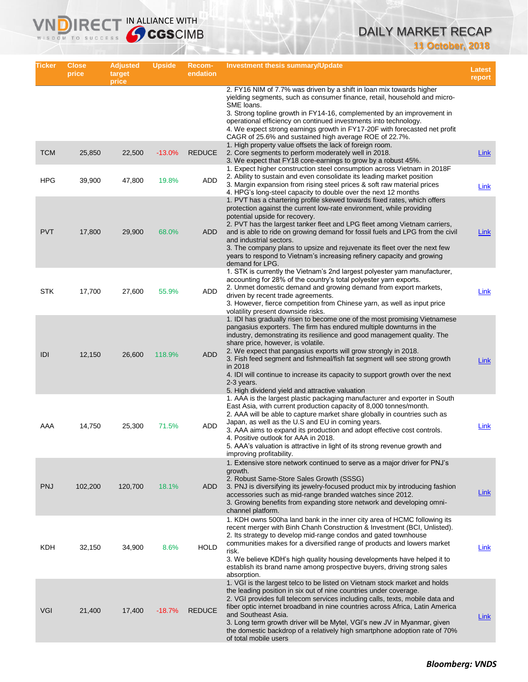# DAILY MARKET RECAP **11 October, 2018**

| Ticker     | <b>Close</b><br>price | <b>Adjusted</b><br>target<br>price | <b>Upside</b> | Recom-<br>endation | <b>Investment thesis summary/Update</b>                                                                                                                                                                                                                                                                                                                                                                                                                                                                                                                                        | Latest<br>report |
|------------|-----------------------|------------------------------------|---------------|--------------------|--------------------------------------------------------------------------------------------------------------------------------------------------------------------------------------------------------------------------------------------------------------------------------------------------------------------------------------------------------------------------------------------------------------------------------------------------------------------------------------------------------------------------------------------------------------------------------|------------------|
|            |                       |                                    |               |                    | 2. FY16 NIM of 7.7% was driven by a shift in loan mix towards higher<br>yielding segments, such as consumer finance, retail, household and micro-<br>SME loans.<br>3. Strong topline growth in FY14-16, complemented by an improvement in<br>operational efficiency on continued investments into technology.<br>4. We expect strong earnings growth in FY17-20F with forecasted net profit<br>CAGR of 25.6% and sustained high average ROE of 22.7%.                                                                                                                          |                  |
| <b>TCM</b> | 25,850                | 22,500                             | $-13.0%$      | <b>REDUCE</b>      | 1. High property value offsets the lack of foreign room.<br>2. Core segments to perform moderately well in 2018.<br>3. We expect that FY18 core-earnings to grow by a robust 45%.                                                                                                                                                                                                                                                                                                                                                                                              | Link             |
| <b>HPG</b> | 39,900                | 47,800                             | 19.8%         | ADD                | 1. Expect higher construction steel consumption across Vietnam in 2018F<br>2. Ability to sustain and even consolidate its leading market position<br>3. Margin expansion from rising steel prices & soft raw material prices<br>4. HPG's long-steel capacity to double over the next 12 months                                                                                                                                                                                                                                                                                 | Link             |
| <b>PVT</b> | 17,800                | 29,900                             | 68.0%         | <b>ADD</b>         | 1. PVT has a chartering profile skewed towards fixed rates, which offers<br>protection against the current low-rate environment, while providing<br>potential upside for recovery.<br>2. PVT has the largest tanker fleet and LPG fleet among Vietnam carriers,<br>and is able to ride on growing demand for fossil fuels and LPG from the civil<br>and industrial sectors.<br>3. The company plans to upsize and rejuvenate its fleet over the next few<br>years to respond to Vietnam's increasing refinery capacity and growing<br>demand for LPG.                          | <b>Link</b>      |
| <b>STK</b> | 17,700                | 27,600                             | 55.9%         | ADD                | 1. STK is currently the Vietnam's 2nd largest polyester yarn manufacturer,<br>accounting for 28% of the country's total polyester yarn exports.<br>2. Unmet domestic demand and growing demand from export markets,<br>driven by recent trade agreements.<br>3. However, fierce competition from Chinese yarn, as well as input price<br>volatility present downside risks.                                                                                                                                                                                                    | Link             |
| IDI        | 12,150                | 26,600                             | 118.9%        | <b>ADD</b>         | 1. IDI has gradually risen to become one of the most promising Vietnamese<br>pangasius exporters. The firm has endured multiple downturns in the<br>industry, demonstrating its resilience and good management quality. The<br>share price, however, is volatile.<br>2. We expect that pangasius exports will grow strongly in 2018.<br>3. Fish feed segment and fishmeal/fish fat segment will see strong growth<br>in 2018<br>4. IDI will continue to increase its capacity to support growth over the next<br>2-3 years.<br>5. High dividend yield and attractive valuation | <b>Link</b>      |
| AAA        | 14,750                | 25,300                             | 71.5%         | ADD                | 1. AAA is the largest plastic packaging manufacturer and exporter in South<br>East Asia, with current production capacity of 8,000 tonnes/month.<br>2. AAA will be able to capture market share globally in countries such as<br>Japan, as well as the U.S and EU in coming years.<br>3. AAA aims to expand its production and adopt effective cost controls.<br>4. Positive outlook for AAA in 2018.<br>5. AAA's valuation is attractive in light of its strong revenue growth and<br>improving profitability.                                                                | Link             |
| <b>PNJ</b> | 102,200               | 120,700                            | 18.1%         | <b>ADD</b>         | 1. Extensive store network continued to serve as a major driver for PNJ's<br>growth.<br>2. Robust Same-Store Sales Growth (SSSG)<br>3. PNJ is diversifying its jewelry-focused product mix by introducing fashion<br>accessories such as mid-range branded watches since 2012.<br>3. Growing benefits from expanding store network and developing omni-<br>channel platform.                                                                                                                                                                                                   | Link             |
| KDH        | 32,150                | 34,900                             | 8.6%          | <b>HOLD</b>        | 1. KDH owns 500ha land bank in the inner city area of HCMC following its<br>recent merger with Binh Chanh Construction & Investment (BCI, Unlisted).<br>2. Its strategy to develop mid-range condos and gated townhouse<br>communities makes for a diversified range of products and lowers market<br>risk.<br>3. We believe KDH's high quality housing developments have helped it to<br>establish its brand name among prospective buyers, driving strong sales<br>absorption.                                                                                               | Link             |
| VGI        | 21,400                | 17,400                             | $-18.7%$      | <b>REDUCE</b>      | 1. VGI is the largest telco to be listed on Vietnam stock market and holds<br>the leading position in six out of nine countries under coverage.<br>2. VGI provides full telecom services including calls, texts, mobile data and<br>fiber optic internet broadband in nine countries across Africa, Latin America<br>and Southeast Asia.<br>3. Long term growth driver will be Mytel, VGI's new JV in Myanmar, given<br>the domestic backdrop of a relatively high smartphone adoption rate of 70%<br>of total mobile users                                                    | Link             |

IRECT IN ALLIANCE WITH

Vľ VП

WISDOM TO SUCCESS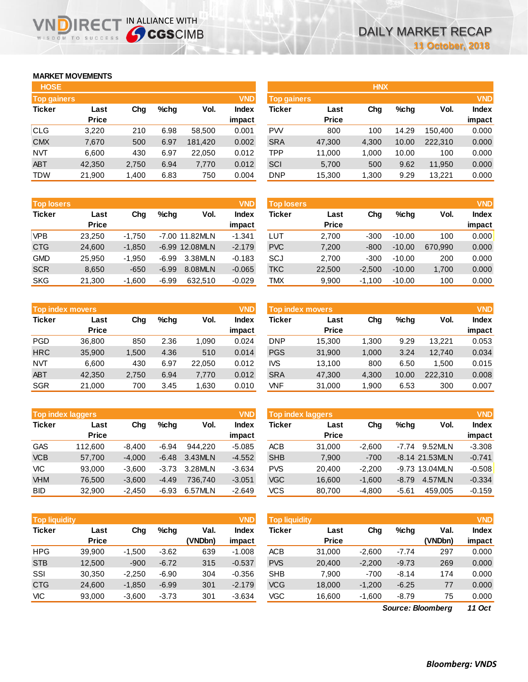# **MARKET MOVEMENTS**

WISDOM TO SUCCESS

הו

| <b>HOSE</b>        |              |       |      |         |              |
|--------------------|--------------|-------|------|---------|--------------|
| <b>Top gainers</b> |              |       |      |         | <b>VND</b>   |
| <b>Ticker</b>      | Last         | Cha   | %chq | Vol.    | <b>Index</b> |
|                    | <b>Price</b> |       |      |         | impact       |
| <b>CLG</b>         | 3,220        | 210   | 6.98 | 58,500  | 0.001        |
| <b>CMX</b>         | 7,670        | 500   | 6.97 | 181,420 | 0.002        |
| NVT                | 6,600        | 430   | 6.97 | 22,050  | 0.012        |
| <b>ABT</b>         | 42,350       | 2,750 | 6.94 | 7,770   | 0.012        |
| TDW                | 21,900       | 1,400 | 6.83 | 750     | 0.004        |

IRECT IN ALLIANCE WITH

| <b>Top losers</b> |              |          |         |                | <b>VND</b> |
|-------------------|--------------|----------|---------|----------------|------------|
| <b>Ticker</b>     | Last         | Cha      | $%$ chq | Vol.           | Index      |
|                   | <b>Price</b> |          |         |                | impact     |
| <b>VPB</b>        | 23,250       | $-1,750$ |         | -7.00 11.82MLN | $-1.341$   |
| <b>CTG</b>        | 24,600       | $-1,850$ |         | -6.99 12.08MLN | $-2.179$   |
| <b>GMD</b>        | 25,950       | $-1,950$ | $-6.99$ | 3.38MLN        | $-0.183$   |
| <b>SCR</b>        | 8,650        | $-650$   | $-6.99$ | 8.08MLN        | $-0.065$   |
| <b>SKG</b>        | 21,300       | $-1,600$ | $-6.99$ | 632,510        | $-0.029$   |

|               | <b>VND</b><br><b>Top index movers</b> |             |      |        |              |  |  |  |  |  |  |
|---------------|---------------------------------------|-------------|------|--------|--------------|--|--|--|--|--|--|
| <b>Ticker</b> | Last                                  | %chq<br>Cha |      | Vol.   | <b>Index</b> |  |  |  |  |  |  |
|               | <b>Price</b>                          |             |      |        | impact       |  |  |  |  |  |  |
| <b>PGD</b>    | 36,800                                | 850         | 2.36 | 1,090  | 0.024        |  |  |  |  |  |  |
| <b>HRC</b>    | 35,900                                | 1,500       | 4.36 | 510    | 0.014        |  |  |  |  |  |  |
| <b>NVT</b>    | 6,600                                 | 430         | 6.97 | 22,050 | 0.012        |  |  |  |  |  |  |
| <b>ABT</b>    | 42,350                                | 2,750       | 6.94 | 7,770  | 0.012        |  |  |  |  |  |  |
| <b>SGR</b>    | 21,000                                | 700         | 3.45 | 1,630  | 0.010        |  |  |  |  |  |  |

| <b>VND</b><br><b>Top index laggers</b> |              |          |         |         |              |  |  |  |  |
|----------------------------------------|--------------|----------|---------|---------|--------------|--|--|--|--|
| <b>Ticker</b>                          | Last         | Cha      | %chq    | Vol.    | <b>Index</b> |  |  |  |  |
|                                        | <b>Price</b> |          |         |         | impact       |  |  |  |  |
| GAS                                    | 112,600      | $-8,400$ | $-6.94$ | 944.220 | $-5.085$     |  |  |  |  |
| <b>VCB</b>                             | 57,700       | $-4,000$ | $-6.48$ | 3.43MLN | $-4.552$     |  |  |  |  |
| VIC                                    | 93,000       | $-3,600$ | $-3.73$ | 3.28MLN | $-3.634$     |  |  |  |  |
| <b>VHM</b>                             | 76,500       | $-3,600$ | $-4.49$ | 736.740 | $-3.051$     |  |  |  |  |
| BID                                    | 32.900       | $-2.450$ | $-6.93$ | 6.57MLN | $-2.649$     |  |  |  |  |

| <b>Top liquidity</b> |              |          |         |         | <b>VND</b> | <b>Top liquidity</b> |              |          |         |                   | <b>VND</b>   |
|----------------------|--------------|----------|---------|---------|------------|----------------------|--------------|----------|---------|-------------------|--------------|
| <b>Ticker</b>        | Last         | Chg      | $%$ chq | Val.    | Index      | <b>Ticker</b>        | Last         | Chg      | $%$ chg | Val.              | <b>Index</b> |
|                      | <b>Price</b> |          |         | (VNDbn) | impact     |                      | <b>Price</b> |          |         | (VNDbn)           | impact       |
| <b>HPG</b>           | 39.900       | $-1,500$ | $-3.62$ | 639     | $-1.008$   | <b>ACB</b>           | 31,000       | $-2,600$ | $-7.74$ | 297               | 0.000        |
| <b>STB</b>           | 12,500       | $-900$   | $-6.72$ | 315     | $-0.537$   | <b>PVS</b>           | 20,400       | $-2,200$ | $-9.73$ | 269               | 0.000        |
| SSI                  | 30,350       | $-2,250$ | $-6.90$ | 304     | $-0.356$   | <b>SHB</b>           | 7.900        | $-700$   | $-8.14$ | 174               | 0.000        |
| <b>CTG</b>           | 24,600       | $-1,850$ | $-6.99$ | 301     | $-2.179$   | <b>VCG</b>           | 18,000       | $-1,200$ | $-6.25$ | 77                | 0.000        |
| VIC                  | 93,000       | $-3,600$ | $-3.73$ | 301     | $-3.634$   | VGC                  | 16,600       | $-1,600$ | $-8.79$ | 75                | 0.000        |
|                      |              |          |         |         |            |                      |              |          |         | Source: Bloomberg | $11$ Oct     |

| <b>HOSE</b>        |              |       |         |         |              |                    |              | <b>HNX</b> |         |         |              |
|--------------------|--------------|-------|---------|---------|--------------|--------------------|--------------|------------|---------|---------|--------------|
| <b>Top gainers</b> |              |       |         |         | <b>VND</b>   | <b>Top gainers</b> |              |            |         |         | <b>VND</b>   |
| Ticker             | Last         | Chg   | $%$ chq | Vol.    | <b>Index</b> | Ticker             | Last         | Chg        | $%$ chq | Vol.    | <b>Index</b> |
|                    | <b>Price</b> |       |         |         | impact       |                    | <b>Price</b> |            |         |         | impact       |
| CLG                | 3,220        | 210   | 6.98    | 58,500  | 0.001        | <b>PW</b>          | 800          | 100        | 14.29   | 150.400 | 0.000        |
| <b>CMX</b>         | 7,670        | 500   | 6.97    | 181,420 | 0.002        | <b>SRA</b>         | 47,300       | 4,300      | 10.00   | 222,310 | 0.000        |
| NVT                | 6,600        | 430   | 6.97    | 22,050  | 0.012        | <b>TPP</b>         | 11,000       | 1,000      | 10.00   | 100     | 0.000        |
| <b>ABT</b>         | 42,350       | 2,750 | 6.94    | 7,770   | 0.012        | SCI                | 5,700        | 500        | 9.62    | 11,950  | 0.000        |
| TDW                | 21,900       | 1,400 | 6.83    | 750     | 0.004        | <b>DNP</b>         | 15,300       | 1,300      | 9.29    | 13,221  | 0.000        |
|                    |              |       |         |         |              |                    |              |            |         |         |              |

| <b>Top losers</b> |              |          |         |                  | <b>VND</b>   | <b>Top losers</b> |              |          |          |         | <b>VND</b>   |
|-------------------|--------------|----------|---------|------------------|--------------|-------------------|--------------|----------|----------|---------|--------------|
| Ticker            | Last         | Chg      | $%$ chq | Vol.             | <b>Index</b> | Ticker            | Last         | Chg      | $%$ chq  | Vol.    | <b>Index</b> |
|                   | <b>Price</b> |          |         |                  | impact       |                   | <b>Price</b> |          |          |         | impact       |
| <b>VPB</b>        | 23.250       | $-1.750$ |         | -7.00 11.82MLN   | $-1.341$     | LUT               | 2.700        | $-300$   | $-10.00$ | 100     | 0.000        |
| CTG               | 24,600       | $-1.850$ |         | $-6.99$ 12.08MLN | $-2.179$     | <b>PVC</b>        | 7,200        | $-800$   | $-10.00$ | 670.990 | 0.000        |
| <b>GMD</b>        | 25.950       | $-1.950$ | -6.99   | 3.38MLN          | $-0.183$     | SCJ               | 2.700        | $-300$   | $-10.00$ | 200     | 0.000        |
| <b>SCR</b>        | 8.650        | $-650$   | $-6.99$ | 8.08MLN          | $-0.065$     | <b>TKC</b>        | 22,500       | $-2.500$ | $-10.00$ | 1.700   | 0.000        |
| SKG               | 21,300       | $-1,600$ | $-6.99$ | 632,510          | $-0.029$     | <b>TMX</b>        | 9,900        | $-1,100$ | $-10.00$ | 100     | 0.000        |

|            | <b>VND</b><br>Top index movers |       |      |        |                        |            | <b>Top index movers</b> |       |         |         |                        |  |  |
|------------|--------------------------------|-------|------|--------|------------------------|------------|-------------------------|-------|---------|---------|------------------------|--|--|
| Ticker     | Last<br><b>Price</b>           | Chg   | %chq | Vol.   | <b>Index</b><br>impact | Ticker     | Last<br><b>Price</b>    | Chg   | $%$ chq | Vol.    | <b>Index</b><br>impact |  |  |
| PGD        | 36.800                         | 850   | 2.36 | 0.090  | 0.024                  | <b>DNP</b> | 15.300                  | 1.300 | 9.29    | 13.221  | 0.053                  |  |  |
| <b>HRC</b> | 35,900                         | 1.500 | 4.36 | 510    | 0.014                  | <b>PGS</b> | 31,900                  | 1,000 | 3.24    | 12.740  | 0.034                  |  |  |
| NVT        | 6,600                          | 430   | 6.97 | 22.050 | 0.012                  | IVS        | 13,100                  | 800   | 6.50    | 1.500   | 0.015                  |  |  |
| <b>ABT</b> | 42,350                         | 2,750 | 6.94 | 7,770  | 0.012                  | <b>SRA</b> | 47,300                  | 4,300 | 10.00   | 222,310 | 0.008                  |  |  |
| SGR        | 21,000                         | 700   | 3.45 | .630   | 0.010                  | VNF        | 31,000                  | 1,900 | 6.53    | 300     | 0.007                  |  |  |

| <b>Top index laggers</b> |              |          |         |         | <b>VND</b>   | Top index laggers |              |          |         |                  |              |
|--------------------------|--------------|----------|---------|---------|--------------|-------------------|--------------|----------|---------|------------------|--------------|
| Ticker                   | Last         | Chg      | $%$ chq | Vol.    | <b>Index</b> | Ticker            | Last         | Chg      | $%$ chq | Vol.             | <b>Index</b> |
|                          | <b>Price</b> |          |         |         | impact       |                   | <b>Price</b> |          |         |                  | impact       |
| GAS                      | 112,600      | $-8.400$ | $-6.94$ | 944.220 | $-5.085$     | <b>ACB</b>        | 31,000       | $-2.600$ | $-7.74$ | 9.52MLN          | $-3.308$     |
| <b>VCB</b>               | 57.700       | $-4.000$ | $-6.48$ | 3.43MLN | $-4.552$     | <b>SHB</b>        | 7,900        | $-700$   |         | $-8.14$ 21.53MLN | $-0.741$     |
| VIC                      | 93,000       | $-3.600$ | $-3.73$ | 3.28MLN | $-3.634$     | <b>PVS</b>        | 20.400       | $-2.200$ |         | $-9.73$ 13.04MLN | $-0.508$     |
| <b>VHM</b>               | 76.500       | $-3.600$ | $-4.49$ | 736.740 | $-3.051$     | <b>VGC</b>        | 16.600       | $-1.600$ | $-8.79$ | 4.57MLN          | $-0.334$     |
| BID                      | 32,900       | $-2.450$ | $-6.93$ | 6.57MLN | $-2.649$     | <b>VCS</b>        | 80,700       | $-4.800$ | $-5.61$ | 459.005          | $-0.159$     |

| <b>Top liquidity</b> |              |          |         |         | <b>VND</b>   |
|----------------------|--------------|----------|---------|---------|--------------|
| <b>Ticker</b>        | Last         | Cha      | $%$ chq | Val.    | <b>Index</b> |
|                      | <b>Price</b> |          |         | (VNDbn) | impact       |
| <b>ACB</b>           | 31,000       | $-2,600$ | $-7.74$ | 297     | 0.000        |
| <b>PVS</b>           | 20,400       | $-2,200$ | $-9.73$ | 269     | 0.000        |
| <b>SHB</b>           | 7,900        | $-700$   | $-8.14$ | 174     | 0.000        |
| <b>VCG</b>           | 18,000       | $-1,200$ | $-6.25$ | 77      | 0.000        |
| VGC                  | 16,600       | $-1,600$ | $-8.79$ | 75      | 0.000        |

*11 Oct Source: Bloomberg*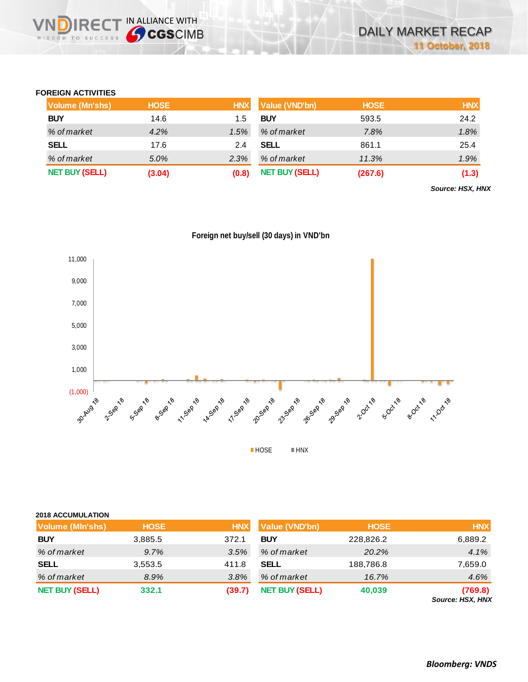## **FOREIGN ACTIVITIES**

WISDOM TO SUCCESS

**DIRECT IN ALLIANCE WITH** 

| <b>Volume (Mn'shs)</b> | <b>HOSE</b> | <b>HNX</b> | <b>Value (VND'bn)</b> | <b>HOSE</b> | <b>HNX</b> |
|------------------------|-------------|------------|-----------------------|-------------|------------|
| <b>BUY</b>             | 14.6        | 1.5        | <b>BUY</b>            | 593.5       | 24.2       |
| % of market            | $4.2\%$     | 1.5%       | % of market           | 7.8%        | 1.8%       |
| <b>SELL</b>            | 17.6        | 2.4        | <b>SELL</b>           | 861.1       | 25.4       |
| % of market            | 5.0%        | 2.3%       | % of market           | 11.3%       | 1.9%       |
| <b>NET BUY (SELL)</b>  | (3.04)      | (0.8)      | <b>NET BUY (SELL)</b> | (267.6)     | (1.3)      |

*Source: HSX, HNX*





| <b>2018 ACCUMULATION</b> |             |            |                       |             |                                    |
|--------------------------|-------------|------------|-----------------------|-------------|------------------------------------|
| <b>Volume (MIn'shs)</b>  | <b>HOSE</b> | <b>HNX</b> | <b>Value (VND'bn)</b> | <b>HOSE</b> | <b>HNX</b>                         |
| <b>BUY</b>               | 3,885.5     | 372.1      | <b>BUY</b>            | 228,826.2   | 6,889.2                            |
| % of market              | 9.7%        | 3.5%       | % of market           | 20.2%       | 4.1%                               |
| <b>SELL</b>              | 3,553.5     | 411.8      | <b>SELL</b>           | 188,786.8   | 7,659.0                            |
| % of market              | 8.9%        | 3.8%       | % of market           | 16.7%       | 4.6%                               |
| <b>NET BUY (SELL)</b>    | 332.1       | (39.7)     | <b>NET BUY (SELL)</b> | 40,039      | (769.8)<br><b>Source: HSX, HNX</b> |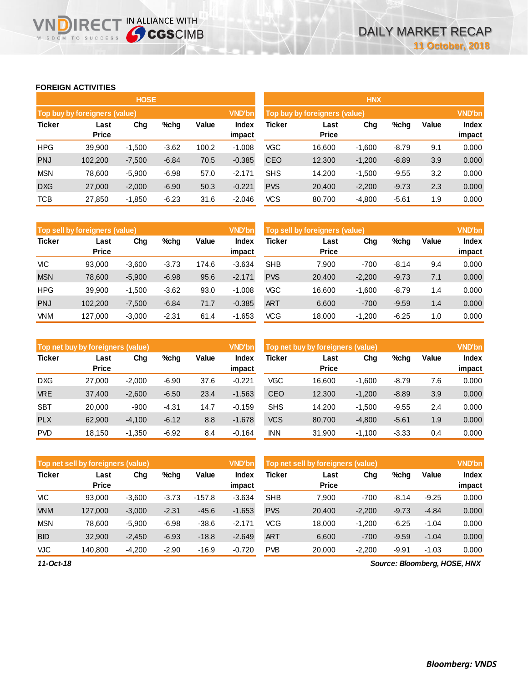## **FOREIGN ACTIVITIES**

WISDOM TO SUCCESS

**VNDIRECT IN ALLIANCE WITH** 

|               |                               | <b>HOSE</b> |         |       |               | <b>HNX</b>                    |              |          |         |       |              |  |
|---------------|-------------------------------|-------------|---------|-------|---------------|-------------------------------|--------------|----------|---------|-------|--------------|--|
|               | Top buy by foreigners (value) |             |         |       | <b>VND'bn</b> | Top buy by foreigners (value) |              |          |         |       |              |  |
| <b>Ticker</b> | Last                          | Chg         | $%$ chg | Value | <b>Index</b>  | Ticker                        | Last         | Chg      | %chg    | Value | <b>Index</b> |  |
|               | <b>Price</b>                  |             |         |       | impact        |                               | <b>Price</b> |          |         |       | impact       |  |
| <b>HPG</b>    | 39,900                        | $-1,500$    | $-3.62$ | 100.2 | $-1.008$      | <b>VGC</b>                    | 16,600       | $-1.600$ | $-8.79$ | 9.1   | 0.000        |  |
| <b>PNJ</b>    | 102,200                       | $-7,500$    | $-6.84$ | 70.5  | $-0.385$      | <b>CEO</b>                    | 12,300       | $-1,200$ | $-8.89$ | 3.9   | 0.000        |  |
| <b>MSN</b>    | 78,600                        | $-5,900$    | $-6.98$ | 57.0  | $-2.171$      | <b>SHS</b>                    | 14,200       | $-1,500$ | $-9.55$ | 3.2   | 0.000        |  |
| <b>DXG</b>    | 27,000                        | $-2,000$    | $-6.90$ | 50.3  | $-0.221$      | <b>PVS</b>                    | 20,400       | $-2,200$ | $-9.73$ | 2.3   | 0.000        |  |
| <b>TCB</b>    | 27,850                        | $-1,850$    | $-6.23$ | 31.6  | $-2.046$      | <b>VCS</b>                    | 80,700       | $-4,800$ | $-5.61$ | 1.9   | 0.000        |  |

|               | Top sell by foreigners (value)<br><b>VND'bn</b> |          |         |       |                 |            | Top sell by foreigners (value) |          |         |       |                        |
|---------------|-------------------------------------------------|----------|---------|-------|-----------------|------------|--------------------------------|----------|---------|-------|------------------------|
| <b>Ticker</b> | Last<br><b>Price</b>                            | Chg      | %chg    | Value | Index<br>impact | Ticker     | Last<br><b>Price</b>           | Chg      | %chg    | Value | <b>Index</b><br>impact |
| <b>VIC</b>    | 93,000                                          | $-3,600$ | $-3.73$ | 174.6 | $-3.634$        | <b>SHB</b> | 7,900                          | $-700$   | $-8.14$ | 9.4   | 0.000                  |
| <b>MSN</b>    | 78.600                                          | $-5,900$ | $-6.98$ | 95.6  | $-2.171$        | <b>PVS</b> | 20,400                         | $-2,200$ | $-9.73$ | 7.1   | 0.000                  |
| <b>HPG</b>    | 39,900                                          | $-1,500$ | $-3.62$ | 93.0  | $-1.008$        | <b>VGC</b> | 16.600                         | $-1,600$ | $-8.79$ | 1.4   | 0.000                  |
| <b>PNJ</b>    | 102.200                                         | $-7.500$ | $-6.84$ | 71.7  | $-0.385$        | <b>ART</b> | 6.600                          | $-700$   | $-9.59$ | 1.4   | 0.000                  |
| <b>VNM</b>    | 127,000                                         | $-3,000$ | $-2.31$ | 61.4  | $-1.653$        | <b>VCG</b> | 18,000                         | $-1,200$ | $-6.25$ | 1.0   | 0.000                  |

|               | <b>VND'bn</b><br>Top net buy by foreigners (value) |          |         |       |                 |            | Top net buy by foreigners (value) |          |         |       |              |  |
|---------------|----------------------------------------------------|----------|---------|-------|-----------------|------------|-----------------------------------|----------|---------|-------|--------------|--|
| <b>Ticker</b> | Last<br><b>Price</b>                               | Chg      | $%$ chg | Value | Index<br>impact | Ticker     | Last<br><b>Price</b>              | Chg      | $%$ chg | Value | <b>Index</b> |  |
|               |                                                    |          |         |       |                 |            |                                   |          |         |       | impact       |  |
| <b>DXG</b>    | 27,000                                             | $-2.000$ | $-6.90$ | 37.6  | $-0.221$        | VGC        | 16.600                            | $-1,600$ | $-8.79$ | 7.6   | 0.000        |  |
| <b>VRE</b>    | 37,400                                             | $-2,600$ | $-6.50$ | 23.4  | $-1.563$        | <b>CEO</b> | 12,300                            | $-1,200$ | $-8.89$ | 3.9   | 0.000        |  |
| <b>SBT</b>    | 20,000                                             | $-900$   | $-4.31$ | 14.7  | $-0.159$        | <b>SHS</b> | 14,200                            | $-1,500$ | $-9.55$ | 2.4   | 0.000        |  |
| <b>PLX</b>    | 62,900                                             | $-4,100$ | $-6.12$ | 8.8   | $-1.678$        | <b>VCS</b> | 80,700                            | $-4,800$ | $-5.61$ | 1.9   | 0.000        |  |
| <b>PVD</b>    | 18.150                                             | $-1.350$ | $-6.92$ | 8.4   | $-0.164$        | <b>INN</b> | 31.900                            | $-1.100$ | $-3.33$ | 0.4   | 0.000        |  |

|               | Top net sell by foreigners (value) |          |         |          |                        | Top net sell by foreigners (value) |                      |          |         |         | <b>VND'bn</b>          |
|---------------|------------------------------------|----------|---------|----------|------------------------|------------------------------------|----------------------|----------|---------|---------|------------------------|
| <b>Ticker</b> | Last<br><b>Price</b>               | Chg      | $%$ chg | Value    | <b>Index</b><br>impact | Ticker                             | Last<br><b>Price</b> | Chg      | %chg    | Value   | <b>Index</b><br>impact |
| VIC           | 93.000                             | $-3,600$ | $-3.73$ | $-157.8$ | $-3.634$               | <b>SHB</b>                         | 7.900                | $-700$   | $-8.14$ | $-9.25$ | 0.000                  |
| <b>VNM</b>    | 127,000                            | $-3,000$ | $-2.31$ | $-45.6$  | $-1.653$               | <b>PVS</b>                         | 20,400               | $-2,200$ | $-9.73$ | $-4.84$ | 0.000                  |
| <b>MSN</b>    | 78.600                             | $-5,900$ | $-6.98$ | $-38.6$  | $-2.171$               | <b>VCG</b>                         | 18.000               | $-1,200$ | $-6.25$ | $-1.04$ | 0.000                  |
| <b>BID</b>    | 32,900                             | $-2,450$ | $-6.93$ | $-18.8$  | $-2.649$               | <b>ART</b>                         | 6,600                | $-700$   | $-9.59$ | $-1.04$ | 0.000                  |
| VJC           | 140.800                            | $-4,200$ | $-2.90$ | $-16.9$  | $-0.720$               | <b>PVB</b>                         | 20,000               | $-2,200$ | $-9.91$ | $-1.03$ | 0.000                  |

*11-Oct-18*

*Source: Bloomberg, HOSE, HNX*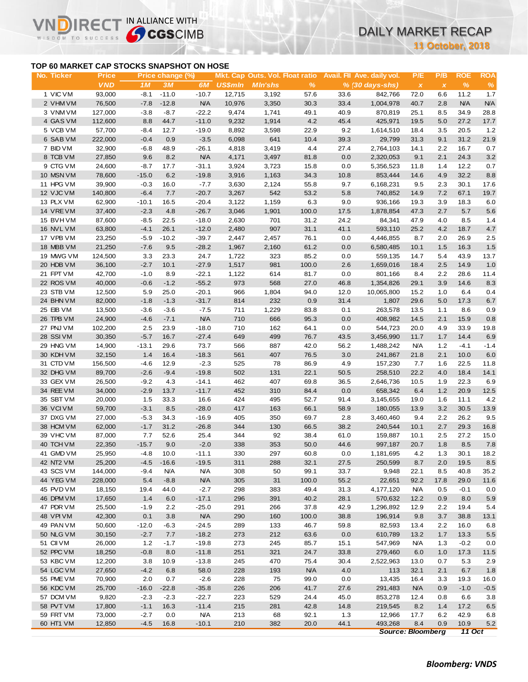### **TOP 60 MARKET CAP STOCKS SNAPSHOT ON HOSE**

 $R<sub>f</sub>$ 

IN ALLIANCE WITH

**11 October, 2018**

|                                           |                            |                  |                        |                   |                |                |              |            |                                                                                           |                     | <b>11 October, 2018</b> |                    |                    |
|-------------------------------------------|----------------------------|------------------|------------------------|-------------------|----------------|----------------|--------------|------------|-------------------------------------------------------------------------------------------|---------------------|-------------------------|--------------------|--------------------|
| TOP 60 MARKET CAP STOCKS SNAPSHOT ON HOSE |                            |                  |                        |                   |                |                |              |            |                                                                                           |                     |                         |                    |                    |
| No. Ticker                                | <b>Price</b><br><b>VND</b> | 1M               | Price change (%)<br>3M | 6M                | <b>US\$mln</b> | <b>MIn'shs</b> | %            |            | Mkt. Cap Outs. Vol. Float ratio Avail. Fil Ave. daily vol.<br>$% (30 \, days\text{-}shs)$ | P/E<br>$\pmb{\chi}$ | P/B<br>$\pmb{\chi}$     | <b>ROE</b><br>$\%$ | <b>ROA</b><br>$\%$ |
| 1 VIC VM                                  | 93,000                     | $-8.1$           | $-11.0$                | $-10.7$           | 12,715         | 3,192          | 57.6         | 33.6       | 842,766                                                                                   | 72.0                | 6.6                     | 11.2               | 1.7                |
| 2 VHM VM                                  | 76,500                     | $-7.8$           | $-12.8$                | <b>N/A</b>        | 10,976         | 3,350          | 30.3         | 33.4       | 1,004,978                                                                                 | 40.7                | 2.8                     | N/A                | <b>N/A</b>         |
| 3 VNM VM                                  | 127,000                    | $-3.8$           | $-8.7$                 | $-22.2$           | 9,474          | 1,741          | 49.1         | 40.9       | 870,819                                                                                   | 25.1                | 8.5                     | 34.9               | 28.8               |
| 4 GAS VM                                  | 112,600                    | 8.8              | 44.7                   | $-11.0$           | 9,232          | 1,914          | 4.2          | 45.4       | 425,971                                                                                   | 19.5                | 5.0                     | 27.2               | 17.7               |
| 5 VCB VM                                  | 57,700                     | $-8.4$           | 12.7                   | $-19.0$           | 8,892          | 3,598          | 22.9         | 9.2        | 1,614,510                                                                                 | 18.4                | 3.5                     | 20.5               | 1.2                |
| 6 SAB VM                                  | 222,000                    | $-0.4$           | 0.9                    | $-3.5$            | 6,098          | 641            | 10.4         | 39.3       | 29,799                                                                                    | 31.3                | 9.1                     | 31.2               | 21.9               |
| 7 BID VM                                  | 32,900                     | $-6.8$           | 48.9                   | $-26.1$           | 4,818          | 3,419          | 4.4          | 27.4       | 2,764,103                                                                                 | 14.1                | 2.2                     | 16.7               | 0.7                |
| 8 TCB VM                                  | 27,850                     | 9.6              | 8.2                    | <b>N/A</b>        | 4,171          | 3,497          | 81.8         | 0.0        | 2,320,053                                                                                 | 9.1                 | 2.1                     | 24.3               | 3.2                |
| 9 CTG VM                                  | 24,600                     | $-8.7$           | 17.7                   | $-31.1$           | 3,924          | 3,723          | 15.8         | 0.0        | 5,356,523                                                                                 | 11.8                | 1.4                     | 12.2               | 0.7                |
| 10 MSN VM                                 | 78,600                     | $-15.0$          | 6.2                    | $-19.8$           | 3,916          | 1,163          | 34.3         | 10.8       | 853,444                                                                                   | 14.6                | 4.9                     | 32.2               | 8.8                |
| 11 HPG VM                                 | 39,900                     | $-0.3$           | 16.0                   | $-7.7$            | 3,630          | 2,124          | 55.8         | 9.7        | 6,168,231                                                                                 | 9.5                 | 2.3                     | 30.1               | 17.6               |
| 12 VJC VM                                 | 140,800                    | $-6.4$           | 7.7                    | $-20.7$           | 3,267          | 542            | 53.2         | 5.8        | 740,852                                                                                   | 14.9                | 7.2                     | 67.1               | 19.7               |
| 13 PLX VM                                 | 62,900                     | $-10.1$          | 16.5                   | $-20.4$           | 3,122          | 1,159          | 6.3          | 9.0        | 936,166                                                                                   | 19.3                | 3.9                     | 18.3               | 6.0                |
| 14 VREVM                                  | 37,400                     | $-2.3$           | 4.8                    | $-26.7$           | 3,046          | 1,901          | 100.0        | 17.5       | 1,878,854                                                                                 | 47.3                | 2.7                     | 5.7                | 5.6                |
| 15 BVHVM                                  | 87,600                     | $-8.5$           | 22.5                   | $-18.0$           | 2,630          | 701            | 31.2         | 24.2       | 84,341                                                                                    | 47.9                | 4.0                     | 8.5                | 1.4                |
| 16 NVL VM                                 | 63,800                     | $-4.1$           | 26.1                   | $-12.0$           | 2,480          | 907            | 31.1         | 41.1       | 593,110                                                                                   | 25.2                | 4.2                     | 18.7               | 4.7                |
| 17 VPB VM                                 | 23,250                     | $-5.9$           | $-10.2$                | $-39.7$           | 2,447          | 2,457          | 76.1         | 0.0        | 4,446,855                                                                                 | 8.7                 | 2.0                     | 26.9               | 2.5                |
| 18 MBB VM                                 | 21,250                     | $-7.6$           | 9.5                    | $-28.2$           | 1,967          | 2,160          | 61.2         | 0.0        | 6,580,485                                                                                 | 10.1                | 1.5                     | 16.3               | 1.5                |
| 19 MWG VM                                 | 124,500                    | 3.3              | 23.3                   | 24.7              | 1,722          | 323            | 85.2         | 0.0        | 559,135                                                                                   | 14.7                | 5.4                     | 43.9               | 13.7               |
| 20 HDB VM                                 | 36,100                     | $-2.7$           | 10.1                   | $-27.9$           | 1,517          | 981            | 100.0        | 2.6        | 1,659,016                                                                                 | 18.4                | 2.5                     | 14.9               | 1.0                |
| 21 FPT VM                                 | 42,700                     | $-1.0$           | 8.9                    | $-22.1$           | 1,122          | 614            | 81.7         | 0.0        | 801,166                                                                                   | 8.4                 | 2.2                     | 28.6               | 11.4               |
| 22 ROS VM                                 | 40,000                     | $-0.6$           | $-1.2$                 | $-55.2$           | 973            | 568            | 27.0         | 46.8       | 1,354,826                                                                                 | 29.1                | 3.9                     | 14.6               | 8.3                |
| 23 STB VM                                 | 12,500                     | 5.9              | 25.0                   | $-20.1$           | 966            | 1,804          | 94.0         | 12.0       | 10,065,800                                                                                | 15.2                | 1.0                     | 6.4                | 0.4                |
| 24 BHN VM                                 | 82,000                     | $-1.8$           | $-1.3$                 | $-31.7$           | 814            | 232            | 0.9          | 31.4       | 1,807                                                                                     | 29.6                | 5.0                     | 17.3               | 6.7                |
| 25 EIB VM                                 | 13,500                     | $-3.6$           | $-3.6$                 | $-7.5$            | 711            | 1,229          | 83.8         | 0.1        | 263,578                                                                                   | 13.5                | 1.1                     | 8.6                | 0.9                |
| 26 TPB VM                                 | 24,900                     | $-4.6$           | $-7.1$                 | <b>N/A</b>        | 710            | 666            | 95.3         | 0.0        | 408,982                                                                                   | 14.5                | 2.1                     | 15.9               | 0.8                |
| 27 PNJ VM                                 | 102,200                    | 2.5              | 23.9                   | $-18.0$           | 710            | 162            | 64.1         | 0.0        | 544,723                                                                                   | 20.0                | 4.9                     | 33.9               | 19.8               |
| 28 SSIVM                                  | 30,350                     | $-5.7$           | 16.7                   | $-27.4$           | 649            | 499            | 76.7         | 43.5       | 3,456,990                                                                                 | 11.7                | 1.7                     | 14.4               | 6.9                |
| 29 HNG VM                                 | 14,900                     | $-13.1$          | 29.6                   | 73.7              | 566            | 887            | 42.0         | 56.2       | 1,488,242                                                                                 | <b>N/A</b>          | $1.2$                   | $-4.1$             | $-1.4$             |
| 30 KDH VM<br>31 CTD VM                    | 32,150                     | 1.4              | 16.4                   | $-18.3$<br>$-2.3$ | 561<br>525     | 407<br>78      | 76.5         | 3.0<br>4.9 | 241,867                                                                                   | 21.8                | 2.1                     | 10.0<br>22.5       | 6.0<br>11.8        |
| 32 DHG VM                                 | 156,500<br>89,700          | $-4.6$<br>$-2.6$ | 12.9<br>$-9.4$         | $-19.8$           | 502            | 131            | 86.9<br>22.1 | 50.5       | 157,230<br>258,510                                                                        | 7.7<br>22.2         | 1.6<br>4.0              | 18.4               | 14.1               |
| 33 GEX VM                                 | 26,500                     | $-9.2$           | 4.3                    | $-14.1$           | 462            | 407            | 69.8         | 36.5       | 2,646,736                                                                                 | 10.5                | 1.9                     | 22.3               | 6.9                |
| 34 REE VM                                 | 34,000                     | $-2.9$           | 13.7                   | $-11.7$           | 452            | 310            | 84.4         | 0.0        | 658,342                                                                                   | 6.4                 | 1.2                     | 20.9               | 12.5               |
| 35 SBT VM                                 | 20,000                     | 1.5              | 33.3                   | 16.6              | 424            | 495            | 52.7         | 91.4       | 3,145,655                                                                                 | 19.0                | 1.6                     | 11.1               | 4.2                |
| 36 VCIVM                                  | 59,700                     | $-3.1$           | 8.5                    | $-28.0$           | 417            | 163            | 66.1         | 58.9       | 180,055                                                                                   | 13.9                | 3.2                     | 30.5               | 13.9               |
| 37 DXG VM                                 | 27,000                     | $-5.3$           | 34.3                   | $-16.9$           | 405            | 350            | 69.7         | 2.8        | 3,460,460                                                                                 | 9.4                 | 2.2                     | 26.2               | 9.5                |
| 38 HCM VM                                 | 62,000                     | $-1.7$           | 31.2                   | $-26.8$           | 344            | 130            | 66.5         | 38.2       | 240,544                                                                                   | 10.1                | 2.7                     | 29.3               | $16.8$             |
| 39 VHC VM                                 | 87,000                     | 7.7              | 52.6                   | 25.4              | 344            | 92             | 38.4         | 61.0       | 159,887                                                                                   | 10.1                | 2.5                     | 27.2               | 15.0               |
| 40 TCH VM                                 | 22,350                     | $-15.7$          | 9.0                    | $-2.0$            | 338            | 353            | 50.0         | 44.6       | 997,187                                                                                   | 20.7                | 1.8                     | 8.5                | $7.8$              |
| 41 GMD VM                                 | 25,950                     | $-4.8$           | 10.0                   | $-11.1$           | 330            | 297            | 60.8         | 0.0        | 1,181,695                                                                                 | 4.2                 | 1.3                     | 30.1               | 18.2               |
| 42 NT2 VM                                 | 25,200                     | $-4.5$           | $-16.6$                | $-19.5$           | 311            | 288            | 32.1         | 27.5       | 250,599                                                                                   | 8.7                 | 2.0                     | 19.5               | 8.5                |
| 43 SCS VM                                 | 144,000                    | $-9.4$           | <b>N/A</b>             | <b>N/A</b>        | 308            | 50             | 99.1         | 33.7       | 9,948                                                                                     | 22.1                | 8.5                     | 40.8               | 35.2               |
| 44 YEG VM                                 | 228,000                    | 5.4              | $-8.8$                 | N/A               | 305            | 31             | 100.0        | 55.2       | 22,651                                                                                    | 92.2                | 17.8                    | 29.0               | 11.6               |
| 45 PVD VM                                 | 18,150                     | 19.4             | 44.0                   | $-2.7$            | 298            | 383            | 49.4         | 31.3       | 4,177,120                                                                                 | <b>N/A</b>          | 0.5                     | $-0.1$             | 0.0                |
| 46 DPM VM                                 | 17,650                     | $1.4$            | 6.0                    | $-17.1$           | 296            | 391            | 40.2         | 28.1       | 570,632                                                                                   | 12.2                | 0.9                     | 8.0                | 5.9                |
| 47 PDR VM                                 | 25,500                     | $-1.9$           | 2.2                    | $-25.0$           | 291            | 266            | 37.8         | 42.9       | 1,296,892                                                                                 | 12.9                | 2.2                     | 19.4               | 5.4                |
| 48 VPI VM                                 | 42,300                     | 0.1              | 3.8                    | N/A               | 290            | 160            | 100.0        | 38.8       | 196,914                                                                                   | 9.8                 | 3.7                     | 38.8               | 13.1               |
| 49 PAN VM                                 | 50,600                     | $-12.0$          | $-6.3$                 | $-24.5$           | 289            | 133            | 46.7         | 59.8       | 82,593                                                                                    | 13.4                | 2.2                     | 16.0               | 6.8                |
| 50 NLG VM                                 | 30,150                     | $-2.7$           | 7.7                    | $-18.2$           | 273            | 212            | 63.6         | 0.0        | 610,789                                                                                   | 13.2                | 1.7                     | 13.3               | $5.5\,$            |
| 51 CII VM                                 | 26,000                     | 1.2              | $-1.7$                 | $-19.8$           | 273            | 245            | 85.7         | 15.1       | 547,969                                                                                   | N/A                 | 1.3                     | $-0.2$             | 0.0                |
| 52 PPC VM                                 | 18,250                     | $-0.8$           | 8.0                    | $-11.8$           | 251            | 321            | 24.7         | 33.8       | 279,460                                                                                   | 6.0                 | 1.0                     | 17.3               | 11.5               |
| 53 KBC VM                                 | 12,200                     | 3.8              | 10.9                   | $-13.8$           | 245            | 470            | 75.4         | 30.4       | 2,522,963                                                                                 | 13.0                | 0.7                     | 5.3                | 2.9                |
| 54 LGC VM                                 | 27,650                     | $-4.2$           | 6.8                    | 58.0              | 228            | 193            | <b>N/A</b>   | 4.0        | 113                                                                                       | 32.1                | 2.1                     | 6.7                | 1.8                |
| 55 PME VM                                 | 70,900                     | 2.0              | 0.7                    | $-2.6$            | 228            | 75             | 99.0         | 0.0        | 13,435                                                                                    | 16.4                | 3.3                     | 19.3               | 16.0               |
| 56 KDC VM                                 | 25,700                     | $-16.0$          | $-22.8$                | $-35.8$           | 226            | 206            | 41.7         | 27.6       | 291,483                                                                                   | <b>N/A</b>          | 0.9                     | $-1.0$             | $-0.5$             |
| 57 DCM VM                                 | 9,820                      | $-2.3$           | $-2.3$                 | $-22.7$           | 223            | 529            | 24.4         | 45.0       | 853,278                                                                                   | 12.4                | 0.8                     | 6.6                | 3.8                |
| 58 PVT VM                                 | 17,800                     | $-1.1$           | 16.3                   | $-11.4$           | 215            | 281            | 42.8         | 14.8       | 219,545                                                                                   | 8.2                 | 1.4                     | 17.2               | 6.5                |
| 59 FRT VM                                 | 73,000                     | $-2.7$           | 0.0                    | <b>N/A</b>        | 213            | 68             | 92.1         | 1.3        | 12,966                                                                                    | 17.7                | 6.2                     | 42.9               | 6.8                |
| 60 HT1 VM                                 | 12,850                     | $-4.5$           | 16.8                   | $-10.1$           | 210            | 382            | 20.0         | 44.1       | 493,268                                                                                   | 8.4                 | 0.9                     | 10.9               | $5.2\,$            |

*Source: Bloomberg 11 Oct*